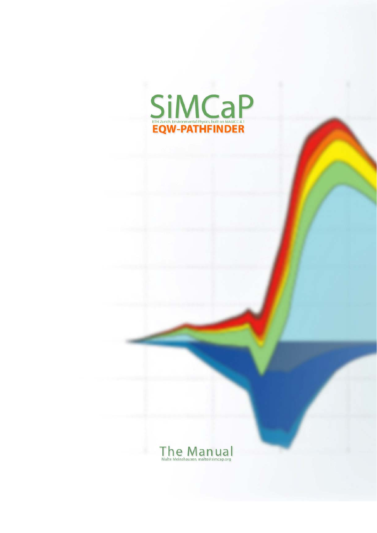

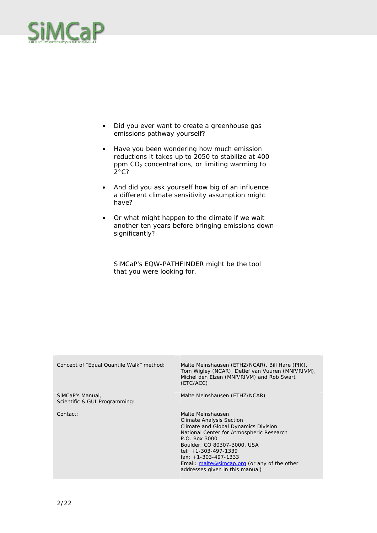- Did you ever want to create a greenhouse gas emissions pathway yourself?
- Have you been wondering how much emission reductions it takes up to 2050 to stabilize at 400 ppm  $CO<sub>2</sub>$  concentrations, or limiting warming to  $2^{\circ}$ C?
- And did you ask yourself how big of an influence a different climate sensitivity assumption might have?
- Or what might happen to the climate if we wait another ten years before bringing emissions down significantly?

SiMCaP's EQW-PATHFINDER might be the tool that you were looking for.

| Concept of "Equal Quantile Walk" method:          | Malte Meinshausen (ETHZ/NCAR), Bill Hare (PIK),<br>Tom Wigley (NCAR), Detlef van Vuuren (MNP/RIVM),<br>Michel den Elzen (MNP/RIVM) and Rob Swart<br>(ETC/ACC)                                                                                                                                                                   |
|---------------------------------------------------|---------------------------------------------------------------------------------------------------------------------------------------------------------------------------------------------------------------------------------------------------------------------------------------------------------------------------------|
| SiMCaP's Manual,<br>Scientific & GUI Programming: | Malte Meinshausen (ETHZ/NCAR)                                                                                                                                                                                                                                                                                                   |
| Contact:                                          | Malte Meinshausen<br><b>Climate Analysis Section</b><br>Climate and Global Dynamics Division<br>National Center for Atmospheric Research<br>P.O. Box 3000<br>Boulder, CO 80307-3000, USA<br>tel: $+1-303-497-1339$<br>fax: $+1-303-497-1333$<br>Email: malte@simcap.org (or any of the other<br>addresses given in this manual) |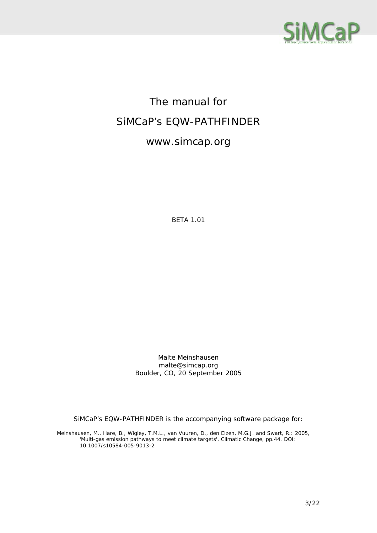

## The manual for SiMCaP's EQW-PATHFINDER

#### www.simcap.org

BETA 1.01

Malte Meinshausen malte@simcap.org Boulder, CO, 20 September 2005

SiMCaP's EQW-PATHFINDER is the accompanying software package for:

Meinshausen, M., Hare, B., Wigley, T.M.L., van Vuuren, D., den Elzen, M.G.J. and Swart, R.: 2005, 'Multi-gas emission pathways to meet climate targets', *Climatic Change*, pp.44. DOI: 10.1007/s10584-005-9013-2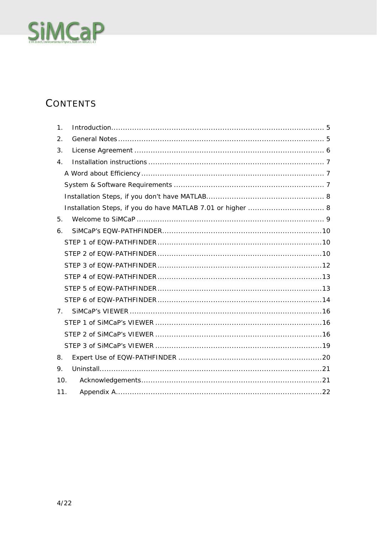# SiMCaP

### CONTENTS

| 1.               |  |
|------------------|--|
| 2.               |  |
| 3.               |  |
| $\overline{4}$ . |  |
|                  |  |
|                  |  |
|                  |  |
|                  |  |
| 5.               |  |
| 6.               |  |
|                  |  |
|                  |  |
|                  |  |
|                  |  |
|                  |  |
|                  |  |
| 7 <sub>1</sub>   |  |
|                  |  |
|                  |  |
|                  |  |
| 8.               |  |
| 9.               |  |
| 10.              |  |
| 11.              |  |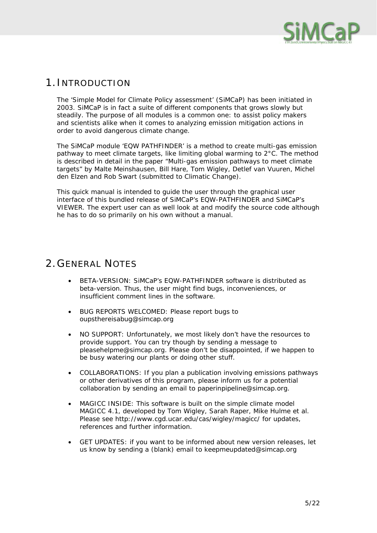

#### 1.INTRODUCTION

The 'Simple Model for Climate Policy assessment' (SiMCaP) has been initiated in 2003. SiMCaP is in fact a suite of different components that grows slowly but steadily. The purpose of all modules is a common one: to assist policy makers and scientists alike when it comes to analyzing emission mitigation actions in order to avoid dangerous climate change.

The SiMCaP module 'EQW PATHFINDER' is a method to create multi-gas emission pathway to meet climate targets, like limiting global warming to 2°C. The method is described in detail in the paper "Multi-gas emission pathways to meet climate targets" by Malte Meinshausen, Bill Hare, Tom Wigley, Detlef van Vuuren, Michel den Elzen and Rob Swart (submitted to Climatic Change).

This quick manual is intended to guide the user through the graphical user interface of this bundled release of SiMCaP's EQW-PATHFINDER and SiMCaP's VIEWER. The expert user can as well look at and modify the source code although he has to do so primarily on his own without a manual.

#### 2.GENERAL NOTES

- BETA-VERSION: SiMCaP's EQW-PATHFINDER software is distributed as beta-version. Thus, the user might find bugs, inconveniences, or insufficient comment lines in the software.
- BUG REPORTS WELCOMED: Please report bugs to oupsthereisabug@simcap.org
- NO SUPPORT: Unfortunately, we most likely don't have the resources to provide support. You can try though by sending a message to pleasehelpme@simcap.org. Please don't be disappointed, if we happen to be busy watering our plants or doing other stuff.
- COLLABORATIONS: If you plan a publication involving emissions pathways or other derivatives of this program, please inform us for a potential collaboration by sending an email to paperinpipeline@simcap.org.
- MAGICC INSIDE: This software is built on the simple climate model MAGICC 4.1, developed by Tom Wigley, Sarah Raper, Mike Hulme et al. Please see http://www.cgd.ucar.edu/cas/wigley/magicc/ for updates, references and further information.
- GET UPDATES: if you want to be informed about new version releases, let us know by sending a (blank) email to keepmeupdated@simcap.org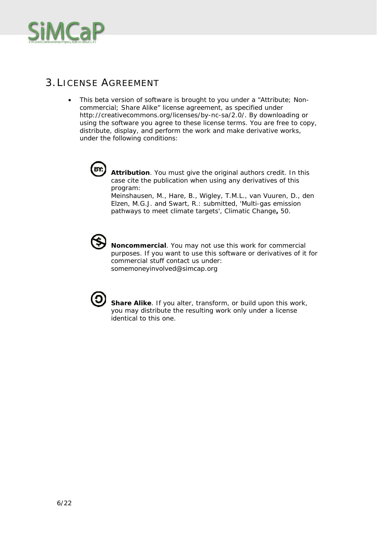

#### 3.LICENSE AGREEMENT

• This beta version of software is brought to you under a "Attribute; Noncommercial; Share Alike" license agreement, as specified under http://creativecommons.org/licenses/by-nc-sa/2.0/. By downloading or using the software you agree to these license terms. You are free to copy, distribute, display, and perform the work and make derivative works, under the following conditions:



**Attribution**. You must give the original authors credit. In this case cite the publication when using any derivatives of this program:

Meinshausen, M., Hare, B., Wigley, T.M.L., van Vuuren, D., den Elzen, M.G.J. and Swart, R.: submitted, 'Multi-gas emission pathways to meet climate targets', *Climatic Change***,** 50.



**Noncommercial**. You may not use this work for commercial purposes. If you want to use this software or derivatives of it for commercial stuff contact us under: somemoneyinvolved@simcap.org



**Share Alike**. If you alter, transform, or build upon this work, you may distribute the resulting work only under a license identical to this one.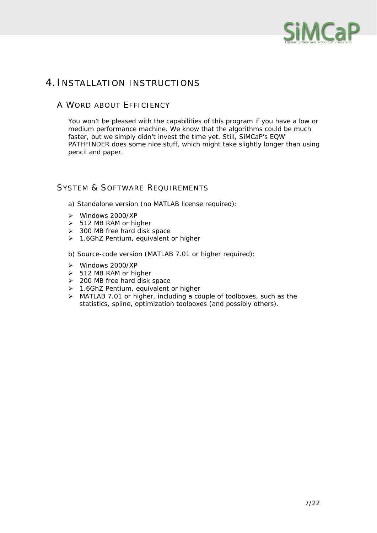

#### 4.INSTALLATION INSTRUCTIONS

#### A WORD ABOUT EFFICIENCY

You won't be pleased with the capabilities of this program if you have a low or medium performance machine. We know that the algorithms could be much faster, but we simply didn't invest the time yet. Still, SiMCaP's EQW PATHFINDER does some nice stuff, which might take slightly longer than using pencil and paper.

#### SYSTEM & SOFTWARE REQUIREMENTS

a) Standalone version (no MATLAB license required):

- ¾ Windows 2000/XP
- $\geq$  512 MB RAM or higher
- ¾ 300 MB free hard disk space
- ¾ 1.6GhZ Pentium, equivalent or higher
- b) Source-code version (MATLAB 7.01 or higher required):
- ¾ Windows 2000/XP
- $\geq$  512 MB RAM or higher
- $\geq$  200 MB free hard disk space
- ¾ 1.6GhZ Pentium, equivalent or higher
- ¾ MATLAB 7.01 or higher, including a couple of toolboxes, such as the statistics, spline, optimization toolboxes (and possibly others).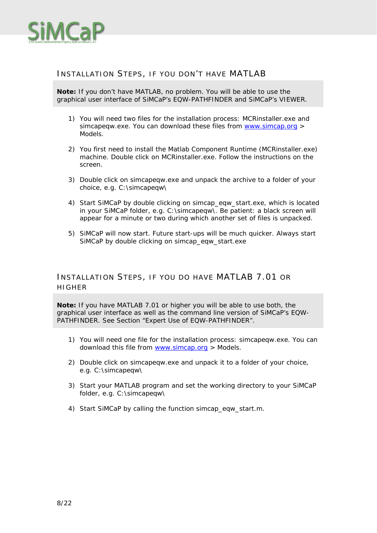

#### INSTALLATION STEPS, IF YOU DON'T HAVE MATLAB

**Note:** If you don't have MATLAB, no problem. You will be able to use the graphical user interface of SiMCaP's EQW-PATHFINDER and SiMCaP's VIEWER.

- 1) You will need two files for the installation process: MCRinstaller.exe and simcapeqw.exe. You can download these files from www.simcap.org > Models.
- 2) You first need to install the Matlab Component Runtime (MCRinstaller.exe) machine. Double click on MCRinstaller.exe. Follow the instructions on the screen.
- 3) Double click on simcapeqw.exe and unpack the archive to a folder of your choice, e.g. C:\simcapeqw\
- 4) Start SiMCaP by double clicking on simcap\_eqw\_start.exe, which is located in your SiMCaP folder, e.g. C:\simcapeqw\. Be patient: a black screen will appear for a minute or two during which another set of files is unpacked.
- 5) SiMCaP will now start. Future start-ups will be much quicker. Always start SiMCaP by double clicking on simcap eqw start.exe

#### INSTALLATION STEPS, IF YOU DO HAVE MATLAB 7.01 OR HIGHER

**Note:** If you have MATLAB 7.01 or higher you will be able to use both, the graphical user interface as well as the command line version of SiMCaP's EQW-PATHFINDER. See Section "Expert Use of EQW-PATHFINDER".

- 1) You will need one file for the installation process: simcapeqw.exe. You can download this file from www.simcap.org > Models.
- 2) Double click on simcapeqw.exe and unpack it to a folder of your choice, e.g. C:\simcapeqw\
- 3) Start your MATLAB program and set the working directory to your SiMCaP folder, e.g. C:\simcapeqw\
- 4) Start SiMCaP by calling the function simcap\_eqw\_start.m.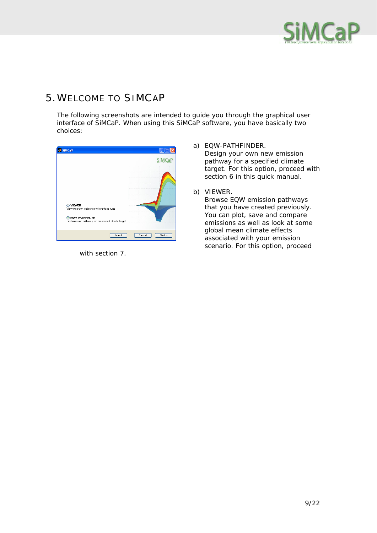

#### 5.WELCOME TO SIMCAP

The following screenshots are intended to guide you through the graphical user interface of SiMCaP. When using this SiMCaP software, you have basically two choices:

| SiMCaP                                                                                                                                |                    |
|---------------------------------------------------------------------------------------------------------------------------------------|--------------------|
|                                                                                                                                       | <b>SiMCaP</b>      |
| ○ VIEWER<br>View emission pathways of previous runs<br><b>C</b> EQW-PATHFINDER<br>Find emission pathway for prescribed climate target |                    |
| About                                                                                                                                 | $Next$ ><br>Cancel |

with section 7.

- a) EQW-PATHFINDER. Design your own new emission pathway for a specified climate target. For this option, proceed with section 6 in this quick manual.
- b) VIEWER.

Browse EQW emission pathways that you have created previously. You can plot, save and compare emissions as well as look at some global mean climate effects associated with your emission scenario. For this option, proceed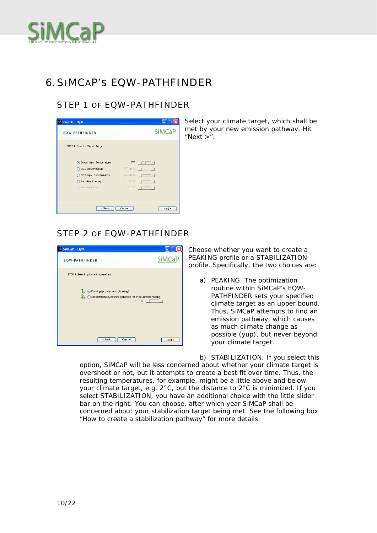

#### 6.SIMCAP'S EQW-PATHFINDER

#### STEP 1 OF FOW-PATHFINDER



Select your climate target, which shall be met by your new emission pathway. Hit " $Next >$ "

#### STEP 2 OF EQW-PATHFINDER



Choose whether you want to create a PEAKING profile or a STABILIZATION profile. Specifically, the two choices are:

a) PEAKING. The optimization routine within SiMCaP's EQW-PATHFINDER sets your specified climate target as an upper bound. Thus, SiMCaP attempts to find an emission pathway, which causes as much climate change as possible (yup), but never beyond your climate target.

b) STABILIZATION. If you select this option, SiMCaP will be less concerned about whether your climate target is overshoot or not, but it attempts to create a best fit over time. Thus, the resulting temperatures, for example, might be a little above and below your climate target, e.g. 2°C, but the distance to 2°C is minimized. If you select STABILIZATION, you have an additional choice with the little slider bar on the right: You can choose, after which year SiMCaP shall be concerned about your stabilization target being met. See the following box "How to create a stabilization pathway" for more details.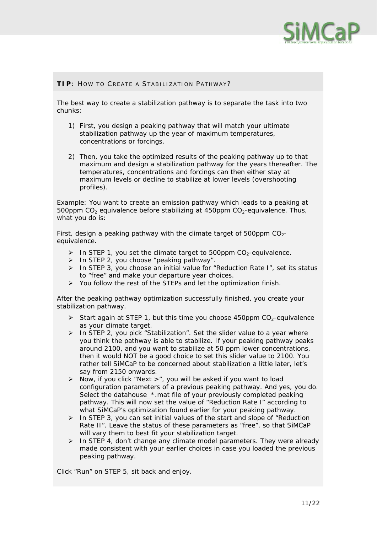

#### **TIP**: HOW TO CREATE A STABILIZATION PATHWAY?

The best way to create a stabilization pathway is to separate the task into two chunks:

- 1) First, you design a peaking pathway that will match your ultimate stabilization pathway up the year of maximum temperatures, concentrations or forcings.
- 2) Then, you take the optimized results of the peaking pathway up to that maximum and design a stabilization pathway for the years thereafter. The temperatures, concentrations and forcings can then either stay at maximum levels or decline to stabilize at lower levels (overshooting profiles).

Example: You want to create an emission pathway which leads to a peaking at 500ppm  $CO<sub>2</sub>$  equivalence before stabilizing at 450ppm  $CO<sub>2</sub>$ -equivalence. Thus, what you do is:

First, design a peaking pathway with the climate target of 500ppm  $CO<sub>2</sub>$ equivalence.

- $\triangleright$  In STEP 1, you set the climate target to 500ppm CO<sub>2</sub>-equivalence.
- $\triangleright$  In STEP 2, you choose "peaking pathway".
- ¾ In STEP 3, you choose an initial value for "Reduction Rate I", set its status to "free" and make your departure year choices.
- ¾ You follow the rest of the STEPs and let the optimization finish.

After the peaking pathway optimization successfully finished, you create your stabilization pathway.

- $\geq$  Start again at STEP 1, but this time you choose 450ppm CO<sub>2</sub>-equivalence as your climate target.
- $\triangleright$  In STEP 2, you pick "Stabilization". Set the slider value to a year where you think the pathway is able to stabilize. If your peaking pathway peaks around 2100, and you want to stabilize at 50 ppm lower concentrations, then it would NOT be a good choice to set this slider value to 2100. You rather tell SiMCaP to be concerned about stabilization a little later, let's say from 2150 onwards.
- $\triangleright$  Now, if you click "Next >", you will be asked if you want to load configuration parameters of a previous peaking pathway. And yes, you do. Select the datahouse\_\*.mat file of your previously completed peaking pathway. This will now set the value of "Reduction Rate I" according to what SiMCaP's optimization found earlier for your peaking pathway.
- $\triangleright$  In STEP 3, you can set initial values of the start and slope of "Reduction" Rate II". Leave the status of these parameters as "free", so that SiMCaP will vary them to best fit your stabilization target.
- $\triangleright$  In STEP 4, don't change any climate model parameters. They were already made consistent with your earlier choices in case you loaded the previous peaking pathway.

Click "Run" on STEP 5, sit back and enjoy.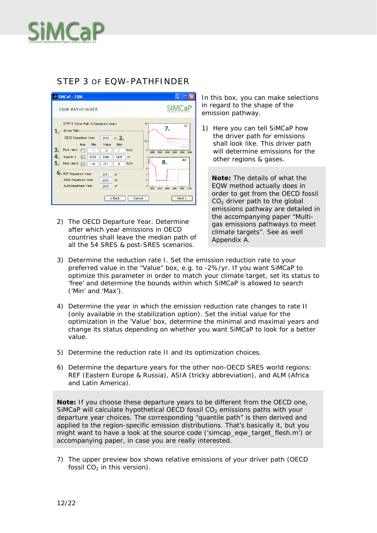

#### STEP 3 OF FOW-PATHFINDER

| SiMCaP - EQW                                                                                                                                                                                                                                                                                                                                                                                                                              |                                                                                                                                                                                      |
|-------------------------------------------------------------------------------------------------------------------------------------------------------------------------------------------------------------------------------------------------------------------------------------------------------------------------------------------------------------------------------------------------------------------------------------------|--------------------------------------------------------------------------------------------------------------------------------------------------------------------------------------|
| EQW-PATHFINDER                                                                                                                                                                                                                                                                                                                                                                                                                            |                                                                                                                                                                                      |
| STEP 3: Driver Path & Departure Years<br>Driver Path-<br>yr <sub>2</sub><br>OECD Departure Year<br>2010<br>Value<br>Min<br>Max<br>free<br>Red. rate I:<br>%Ayr<br>$-10$<br>$-2$<br>$\Omega$<br>罓<br>2020<br>Start R. II:<br>2040<br>2400<br>٧r<br>5<br>%Ar<br>Red. rate II:<br>罓<br>$-10$<br>$-0.1$<br>$\Omega$<br>6. REF Departure Year:<br>2010<br>٧r<br>ASIA Departure Year:<br><b>yr</b><br>2015<br>ALM Departure Year:<br>2015<br>yr | 1.5<br>60<br>7.<br>0.5<br>o<br>2080<br>2100<br>2000<br>2000<br>2060<br>2040<br>d'id.<br>8.<br>$\overline{0}$<br>$-1$<br>$-2$<br>$-3$<br>2100<br>2060<br>2080<br>2000<br>2000<br>2040 |
| $<$ Back<br>Cancel                                                                                                                                                                                                                                                                                                                                                                                                                        | $Next$ >                                                                                                                                                                             |

2) The OECD Departure Year. Determine after which year emissions in OECD countries shall leave the median path of all the 54 SRES & post-SRES scenarios.

In this box, you can make selections in regard to the shape of the emission pathway.

1) Here you can tell SiMCaP how the driver path for emissions shall look like. This driver path will determine emissions for the other regions & gases.

**Note:** The details of what the EQW method actually does in order to get from the OECD fossil  $CO<sub>2</sub>$  driver path to the global emissions pathway are detailed in the accompanying paper "Multigas emissions pathways to meet climate targets". See as well Appendix A.

- 3) Determine the reduction rate I. Set the emission reduction rate to your preferred value in the "Value" box, e.g. to -2%/yr. If you want SiMCaP to optimize this parameter in order to match your climate target, set its status to 'free' and determine the bounds within which SiMCaP is allowed to search ('Min' and 'Max').
- 4) Determine the year in which the emission reduction rate changes to rate II (only available in the stabilization option). Set the initial value for the optimization in the 'Value' box, determine the minimal and maximal years and change its status depending on whether you want SiMCaP to look for a better value.
- 5) Determine the reduction rate II and its optimization choices.
- 6) Determine the departure years for the other non-OECD SRES world regions: REF (Eastern Europe & Russia), ASIA (tricky abbreviation), and ALM (Africa and Latin America).

**Note:** If you choose these departure years to be different from the OECD one, SiMCaP will calculate hypothetical OECD fossil  $CO<sub>2</sub>$  emissions paths with your departure year choices. The corresponding "quantile path" is then derived and applied to the region-specific emission distributions. That's basically it, but you might want to have a look at the source code ('simcap\_eqw\_target\_flesh.m') or accompanying paper, in case you are really interested.

7) The upper preview box shows relative emissions of your driver path (OECD fossil  $CO<sub>2</sub>$  in this version).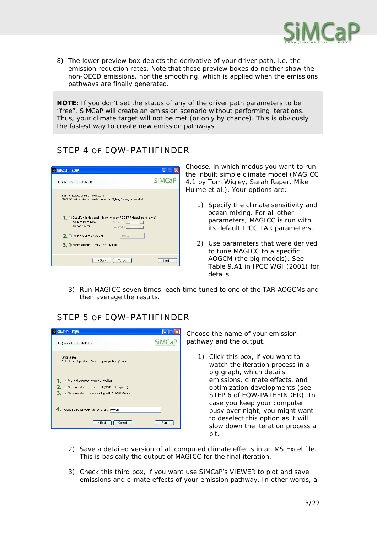

8) The lower preview box depicts the derivative of your driver path, i.e. the emission reduction rates. Note that these preview boxes do neither show the non-OECD emissions, nor the smoothing, which is applied when the emissions pathways are finally generated.

**NOTE:** If you don't set the status of any of the driver path parameters to be "free", SiMCaP will create an emission scenario without performing iterations. Thus, your climate target will not be met (or only by chance). This is obviously the fastest way to create new emission pathways

#### STEP 4 OF EQW-PATHFINDER



Choose, in which modus you want to run the inbuilt simple climate model (MAGICC 4.1 by Tom Wigley, Sarah Raper, Mike Hulme et al.). Your options are:

- 1) Specify the climate sensitivity and ocean mixing. For all other parameters, MAGICC is run with its default IPCC TAR parameters.
- 2) Use parameters that were derived to tune MAGICC to a specific AOGCM (the big models). See Table 9.A1 in IPCC WGI (2001) for details.
- 3) Run MAGICC seven times, each time tuned to one of the TAR AOGCMs and then average the results.

#### STEP 5 OF EQW-PATHFINDER



Choose the name of your emission pathway and the output.

- 1) Click this box, if you want to watch the iteration process in a big graph, which details emissions, climate effects, and optimization developments (see STEP 6 of EQW-PATHFINDER). In case you keep your computer busy over night, you might want to deselect this option as it will slow down the iteration process a bit.
- 2) Save a detailed version of all computed climate effects in an MS Excel file. This is basically the output of MAGICC for the final iteration.
- 3) Check this third box, if you want use SiMCaP's VIEWER to plot and save emissions and climate effects of your emission pathway. In other words, a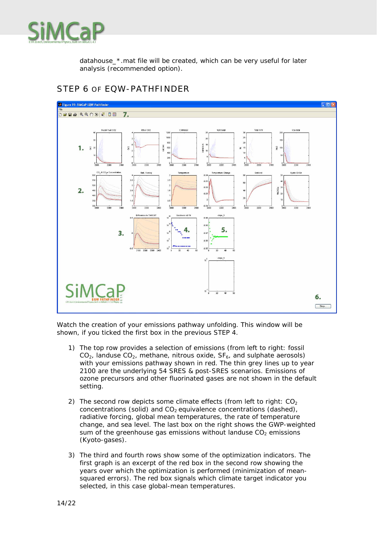

datahouse\_\*.mat file will be created, which can be very useful for later analysis (recommended option).



#### STEP 6 OF EQW-PATHFINDER

Watch the creation of your emissions pathway unfolding. This window will be shown, if you ticked the first box in the previous STEP 4.

- 1) The top row provides a selection of emissions (from left to right: fossil  $CO<sub>2</sub>$ , landuse  $CO<sub>2</sub>$ , methane, nitrous oxide,  $SF<sub>6</sub>$ , and sulphate aerosols) with your emissions pathway shown in red. The thin grey lines up to year 2100 are the underlying 54 SRES & post-SRES scenarios. Emissions of ozone precursors and other fluorinated gases are not shown in the default setting.
- 2) The second row depicts some climate effects (from left to right:  $CO<sub>2</sub>$ concentrations (solid) and  $CO<sub>2</sub>$  equivalence concentrations (dashed), radiative forcing, global mean temperatures, the rate of temperature change, and sea level. The last box on the right shows the GWP-weighted sum of the greenhouse gas emissions without landuse  $CO<sub>2</sub>$  emissions (Kyoto-gases).
- 3) The third and fourth rows show some of the optimization indicators. The first graph is an excerpt of the red box in the second row showing the years over which the optimization is performed (minimization of meansquared errors). The red box signals which climate target indicator you selected, in this case global-mean temperatures.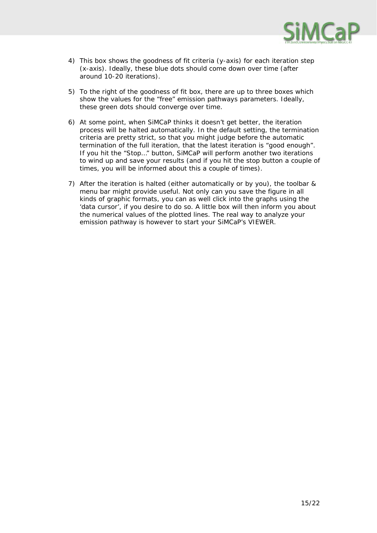

- 4) This box shows the goodness of fit criteria (y-axis) for each iteration step (x-axis). Ideally, these blue dots should come down over time (after around 10-20 iterations).
- 5) To the right of the goodness of fit box, there are up to three boxes which show the values for the "free" emission pathways parameters. Ideally, these green dots should converge over time.
- 6) At some point, when SiMCaP thinks it doesn't get better, the iteration process will be halted automatically. In the default setting, the termination criteria are pretty strict, so that you might judge before the automatic termination of the full iteration, that the latest iteration is "good enough". If you hit the "Stop…" button, SiMCaP will perform another two iterations to wind up and save your results (and if you hit the stop button a couple of times, you will be informed about this a couple of times).
- 7) After the iteration is halted (either automatically or by you), the toolbar & menu bar might provide useful. Not only can you save the figure in all kinds of graphic formats, you can as well click into the graphs using the 'data cursor', if you desire to do so. A little box will then inform you about the numerical values of the plotted lines. The real way to analyze your emission pathway is however to start your SiMCaP's VIEWER.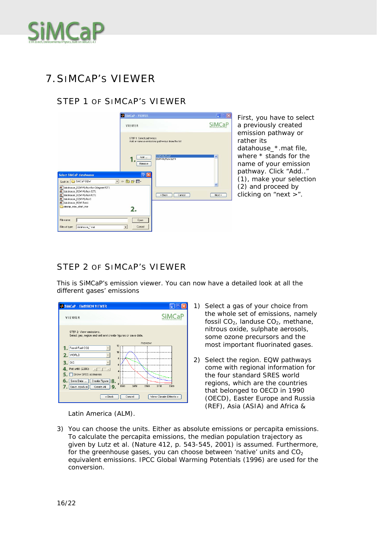

#### 7.SIMCAP'S VIEWER

#### STEP 1 OF SIMCAP'S VIEWER

|                                                                                                                      | SiMCaP - VIEWER                  |                                                |               |
|----------------------------------------------------------------------------------------------------------------------|----------------------------------|------------------------------------------------|---------------|
|                                                                                                                      | VIEWER                           |                                                | <b>SiMCaP</b> |
|                                                                                                                      | STEP 1: Select pathways          | Add or remove emissions pathways from the list |               |
|                                                                                                                      | Add<br>Remove                    | EGW-MyRun1<br>EGW-MyRun-S2T1                   | ۸             |
| <b>Select SiMCaP datahouses</b><br>Look in: SiMCaP-EQW                                                               | ? X <br>$+B$ d'E<br>$\mathbf{r}$ |                                                |               |
| datahouse_EQW-MyRun-for-2degree-P2T1<br>datahouse_EQW-MyRun-S2T1<br>datahouse_EQW-MyRun-P2T1<br>datahouse_EQW-MyRun1 |                                  | $\leq$ Back<br>Cancel                          | $Next$ >      |
| datahouse_EQW-Tom1<br>simcap_eqw_start_mcr                                                                           | 2.                               |                                                |               |
| File name:                                                                                                           | Open                             |                                                |               |
| Files of type:<br>datahouse ".mat                                                                                    | Cancel                           |                                                |               |

First, you have to select a previously created emission pathway or rather its datahouse\_\*.mat file, where \* stands for the name of your emission pathway. Click "Add.." (1), make your selection (2) and proceed by clicking on "next >".

#### STEP 2 OF SIMCAP'S VIEWER

This is SiMCaP's emission viewer. You can now have a detailed look at all the different gases' emissions



Latin America (ALM).

- 2) Select the region. EQW pathways come with regional information for the four standard SRES world regions, which are the countries that belonged to OECD in 1990 (OECD), Easter Europe and Russia (REF), Asia (ASIA) and Africa &
- 3) You can choose the units. Either as absolute emissions or percapita emissions. To calculate the percapita emissions, the median population trajectory as given by Lutz et al. (Nature 412, p. 543-545, 2001) is assumed. Furthermore, for the greenhouse gases, you can choose between 'native' units and  $CO<sub>2</sub>$ equivalent emissions. IPCC Global Warming Potentials (1996) are used for the conversion.

<sup>1)</sup> Select a gas of your choice from the whole set of emissions, namely fossil  $CO<sub>2</sub>$ , landuse  $CO<sub>2</sub>$ , methane, nitrous oxide, sulphate aerosols, some ozone precursors and the most important fluorinated gases.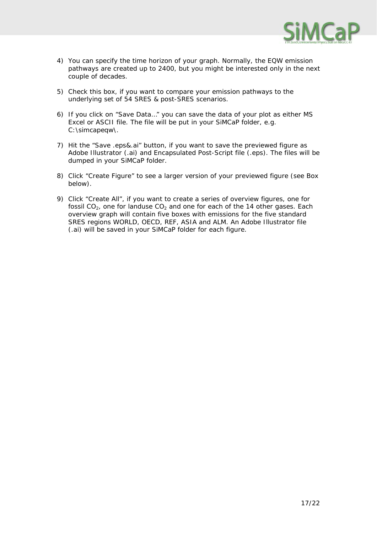

- 4) You can specify the time horizon of your graph. Normally, the EQW emission pathways are created up to 2400, but you might be interested only in the next couple of decades.
- 5) Check this box, if you want to compare your emission pathways to the underlying set of 54 SRES & post-SRES scenarios.
- 6) If you click on "Save Data…" you can save the data of your plot as either MS Excel or ASCII file. The file will be put in your SiMCaP folder, e.g. C:\simcapeqw\.
- 7) Hit the "Save .eps&.ai" button, if you want to save the previewed figure as Adobe Illustrator (.ai) and Encapsulated Post-Script file (.eps). The files will be dumped in your SiMCaP folder.
- 8) Click "Create Figure" to see a larger version of your previewed figure (see Box below).
- 9) Click "Create All", if you want to create a series of overview figures, one for fossil  $CO<sub>2</sub>$ , one for landuse  $CO<sub>2</sub>$  and one for each of the 14 other gases. Each overview graph will contain five boxes with emissions for the five standard SRES regions WORLD, OECD, REF, ASIA and ALM. An Adobe Illustrator file (.ai) will be saved in your SiMCaP folder for each figure.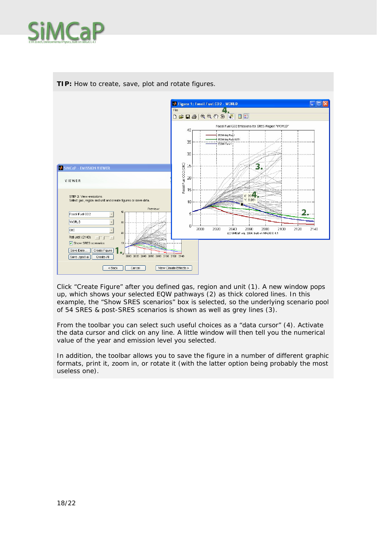



**TIP:** How to create, save, plot and rotate figures.

Click "Create Figure" after you defined gas, region and unit (1). A new window pops up, which shows your selected EQW pathways (2) as thick colored lines. In this example, the "Show SRES scenarios" box is selected, so the underlying scenario pool of 54 SRES & post-SRES scenarios is shown as well as grey lines (3).

From the toolbar you can select such useful choices as a "data cursor" (4). Activate the data cursor and click on any line. A little window will then tell you the numerical value of the year and emission level you selected.

In addition, the toolbar allows you to save the figure in a number of different graphic formats, print it, zoom in, or rotate it (with the latter option being probably the most useless one).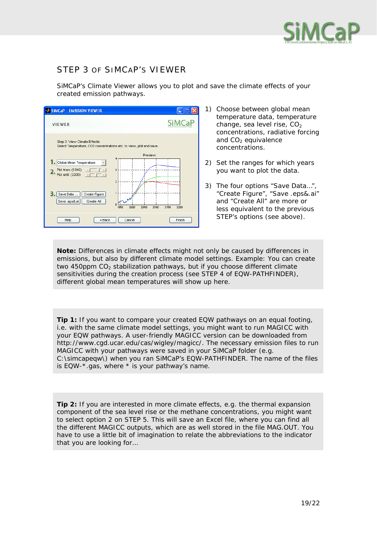

#### STEP 3 OF SIMCAP'S VIEWER

SiMCaP's Climate Viewer allows you to plot and save the climate effects of your created emission pathways.



- 1) Choose between global mean temperature data, temperature change, sea level rise,  $CO<sub>2</sub>$ concentrations, radiative forcing and  $CO<sub>2</sub>$  equivalence concentrations.
- 2) Set the ranges for which years you want to plot the data.
- 3) The four options "Save Data…", "Create Figure", "Save .eps&.ai" and "Create All" are more or less equivalent to the previous STEP's options (see above).

**Note:** Differences in climate effects might not only be caused by differences in emissions, but also by different climate model settings. Example: You can create two 450ppm  $CO<sub>2</sub>$  stabilization pathways, but if you choose different climate sensitivities during the creation process (see STEP 4 of EQW-PATHFINDER), different global mean temperatures will show up here.

**Tip 1:** If you want to compare your created EQW pathways on an equal footing, i.e. with the same climate model settings, you might want to run MAGICC with your EQW pathways. A user-friendly MAGICC version can be downloaded from http://www.cgd.ucar.edu/cas/wigley/magicc/. The necessary emission files to run MAGICC with your pathways were saved in your SiMCaP folder (e.g. C:\simcapeqw\) when you ran SiMCaP's EQW-PATHFINDER. The name of the files is EQW-\*.gas, where \* is your pathway's name.

**Tip 2:** If you are interested in more climate effects, e.g. the thermal expansion component of the sea level rise or the methane concentrations, you might want to select option 2 on STEP 5. This will save an Excel file, where you can find all the different MAGICC outputs, which are as well stored in the file MAG.OUT. You have to use a little bit of imagination to relate the abbreviations to the indicator that you are looking for…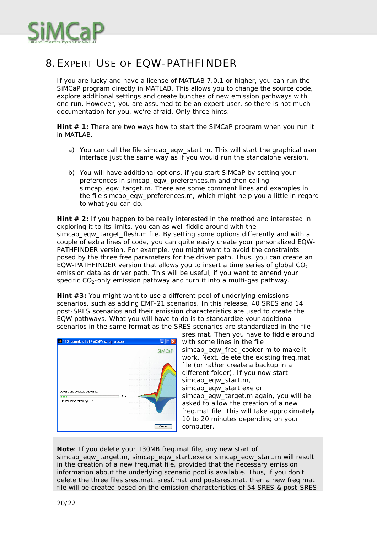

#### 8.EXPERT USE OF EQW-PATHFINDER

If you are lucky and have a license of MATLAB 7.0.1 or higher, you can run the SiMCaP program directly in MATLAB. This allows you to change the source code, explore additional settings and create bunches of new emission pathways with one run. However, you are assumed to be an expert user, so there is not much documentation for you, we're afraid. Only three hints:

**Hint # 1:** There are two ways how to start the SiMCaP program when you run it in MATLAB.

- a) You can call the file simcap\_eqw\_start.m. This will start the graphical user interface just the same way as if you would run the standalone version.
- b) You will have additional options, if you start SiMCaP by setting your preferences in simcap\_eqw\_preferences.m and then calling simcap\_eqw\_target.m. There are some comment lines and examples in the file simcap\_eqw\_preferences.m, which might help you a little in regard to what you can do.

**Hint # 2:** If you happen to be really interested in the method and interested in exploring it to its limits, you can as well fiddle around with the simcap\_eqw\_target\_flesh.m file. By setting some options differently and with a couple of extra lines of code, you can quite easily create your personalized EQW-PATHFINDER version. For example, you might want to avoid the constraints posed by the three free parameters for the driver path. Thus, you can create an EQW-PATHFINDER version that allows you to insert a time series of global  $CO<sub>2</sub>$ emission data as driver path. This will be useful, if you want to amend your specific  $CO<sub>2</sub>$ -only emission pathway and turn it into a multi-gas pathway.

**Hint #3:** You might want to use a different pool of underlying emissions scenarios, such as adding EMF-21 scenarios. In this release, 40 SRES and 14 post-SRES scenarios and their emission characteristics are used to create the EQW pathways. What you will have to do is to standardize your additional scenarios in the same format as the SRES scenarios are standardized in the file

| 11% completed of SiMCaP's setup process                                                      |                                                                       |
|----------------------------------------------------------------------------------------------|-----------------------------------------------------------------------|
|                                                                                              | <b>SiMCaP</b>                                                         |
| Lengthy and delicious smoothing<br>11 %<br><b>GRAN</b><br>Estimated time remaining: 00:10:56 | ÷<br>.<br>.<br>1.111<br>.<br><b><i><u><u><b>VALLE</b></u></u></i></b> |
|                                                                                              | Cancel                                                                |

sres.mat. Then you have to fiddle around with some lines in the file simcap\_eqw\_freq\_cooker.m to make it work. Next, delete the existing freq.mat file (or rather create a backup in a different folder). If you now start simcap\_eqw\_start.m, simcap\_eqw\_start.exe or simcap\_eqw\_target.m again, you will be asked to allow the creation of a new freq.mat file. This will take approximately 10 to 20 minutes depending on your computer.

**Note**: If you delete your 130MB freq.mat file, any new start of simcap\_eqw\_target.m, simcap\_eqw\_start.exe or simcap\_eqw\_start.m will result in the creation of a new freq.mat file, provided that the necessary emission information about the underlying scenario pool is available. Thus, if you don't delete the three files sres.mat, sresf.mat and postsres.mat, then a new freq.mat file will be created based on the emission characteristics of 54 SRES & post-SRES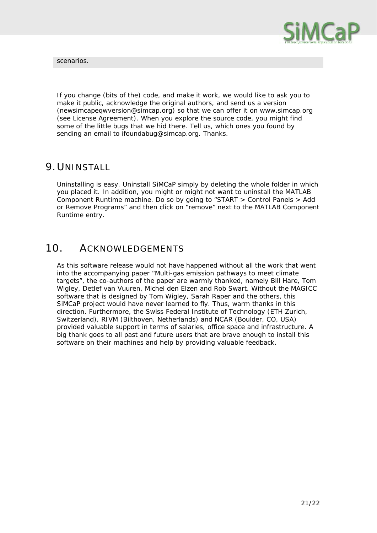

scenarios.

If you change (bits of the) code, and make it work, we would like to ask you to make it public, acknowledge the original authors, and send us a version (newsimcapeqwversion@simcap.org) so that we can offer it on www.simcap.org (see License Agreement). When you explore the source code, you might find some of the little bugs that we hid there. Tell us, which ones you found by sending an email to ifoundabug@simcap.org. Thanks.

#### 9.UNINSTALL

Uninstalling is easy. Uninstall SiMCaP simply by deleting the whole folder in which you placed it. In addition, you might or might not want to uninstall the MATLAB Component Runtime machine. Do so by going to "START > Control Panels > Add or Remove Programs" and then click on "remove" next to the MATLAB Component Runtime entry.

#### 10. ACKNOWLEDGEMENTS

As this software release would not have happened without all the work that went into the accompanying paper "Multi-gas emission pathways to meet climate targets", the co-authors of the paper are warmly thanked, namely Bill Hare, Tom Wigley, Detlef van Vuuren, Michel den Elzen and Rob Swart. Without the MAGICC software that is designed by Tom Wigley, Sarah Raper and the others, this SiMCaP project would have never learned to fly. Thus, warm thanks in this direction. Furthermore, the Swiss Federal Institute of Technology (ETH Zurich, Switzerland), RIVM (Bilthoven, Netherlands) and NCAR (Boulder, CO, USA) provided valuable support in terms of salaries, office space and infrastructure. A big thank goes to all past and future users that are brave enough to install this software on their machines and help by providing valuable feedback.